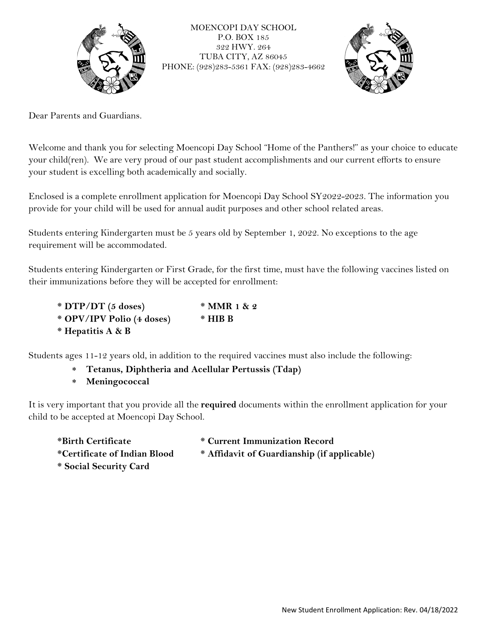



Dear Parents and Guardians.

Welcome and thank you for selecting Moencopi Day School "Home of the Panthers!" as your choice to educate your child(ren). We are very proud of our past student accomplishments and our current efforts to ensure your student is excelling both academically and socially.

Enclosed is a complete enrollment application for Moencopi Day School SY2022-2023. The information you provide for your child will be used for annual audit purposes and other school related areas.

Students entering Kindergarten must be 5 years old by September 1, 2022. No exceptions to the age requirement will be accommodated.

Students entering Kindergarten or First Grade, for the first time, must have the following vaccines listed on their immunizations before they will be accepted for enrollment:

| $*$ DTP/DT (5 doses)      | $*$ MMR 1 & 2 |
|---------------------------|---------------|
| * OPV/IPV Polio (4 doses) | $*$ HIB B     |
| * Hepatitis A & B         |               |

Students ages 11-12 years old, in addition to the required vaccines must also include the following:

- **Tetanus, Diphtheria and Acellular Pertussis (Tdap)**
- **Meningococcal**

It is very important that you provide all the **required** documents within the enrollment application for your child to be accepted at Moencopi Day School.

**\*Birth Certificate \* Current Immunization Record \*Certificate of Indian Blood \* Affidavit of Guardianship (if applicable) \* Social Security Card**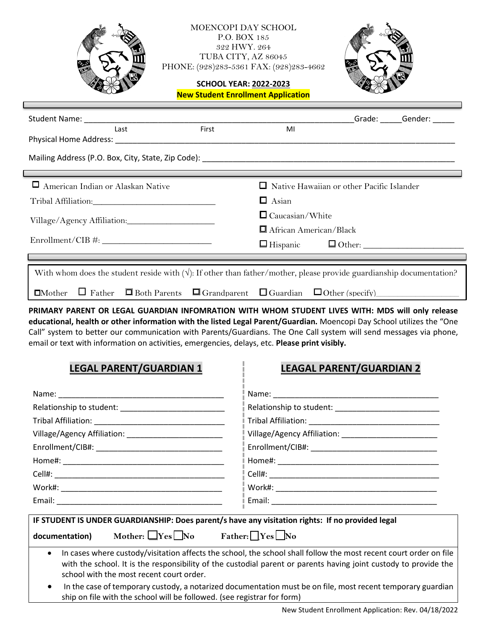



# **SCHOOL YEAR: 2022-2023 New Student Enrollment Application**

|                                                                                                                              |                                          |                                                                                             |                        |                                                  | Grade: Gender: |
|------------------------------------------------------------------------------------------------------------------------------|------------------------------------------|---------------------------------------------------------------------------------------------|------------------------|--------------------------------------------------|----------------|
|                                                                                                                              | Last                                     | First                                                                                       | MI                     |                                                  |                |
|                                                                                                                              | Physical Home Address:                   |                                                                                             |                        |                                                  |                |
|                                                                                                                              |                                          |                                                                                             |                        |                                                  |                |
|                                                                                                                              | $\Box$ American Indian or Alaskan Native |                                                                                             |                        | $\Box$ Native Hawaiian or other Pacific Islander |                |
|                                                                                                                              |                                          |                                                                                             | $\Box$ Asian           |                                                  |                |
|                                                                                                                              | Village/Agency Affiliation:              |                                                                                             | $\Box$ Caucasian/White |                                                  |                |
|                                                                                                                              |                                          |                                                                                             |                        | $\Box$ African American/Black                    |                |
|                                                                                                                              | $Enrollment/CIB \#:\_$                   |                                                                                             |                        | $\Box$ Hispanic $\Box$ Other:                    |                |
|                                                                                                                              |                                          |                                                                                             |                        |                                                  |                |
| With whom does the student reside with $(\sqrt{})$ : If other than father/mother, please provide guardianship documentation? |                                          |                                                                                             |                        |                                                  |                |
| $\Box$ Mother                                                                                                                |                                          | $\Box$ Father $\Box$ Both Parents $\Box$ Grandparent $\Box$ Guardian $\Box$ Other (specify) |                        |                                                  |                |

**PRIMARY PARENT OR LEGAL GUARDIAN INFOMRATION WITH WHOM STUDENT LIVES WITH: MDS will only release educational, health or other information with the listed Legal Parent/Guardian.** Moencopi Day School utilizes the "One Call" system to better our communication with Parents/Guardians. The One Call system will send messages via phone, email or text with information on activities, emergencies, delays, etc. **Please print visibly.**

| <b>LEGAL PARENT/GUARDIAN 1</b> | <b>LEAGAL PARENT/GUARDIAN 2</b> |
|--------------------------------|---------------------------------|
|                                |                                 |
|                                |                                 |
|                                |                                 |
|                                |                                 |
|                                |                                 |
|                                |                                 |
|                                |                                 |
|                                |                                 |
|                                |                                 |

**IF STUDENT IS UNDER GUARDIANSHIP: Does parent/s have any visitation rights: If no provided legal** 

- **documentation) Mother: \_\_Yes \_\_No Father: \_\_Yes \_\_No**
	- In cases where custody/visitation affects the school, the school shall follow the most recent court order on file with the school. It is the responsibility of the custodial parent or parents having joint custody to provide the school with the most recent court order.
	- In the case of temporary custody, a notarized documentation must be on file, most recent temporary guardian ship on file with the school will be followed. (see registrar for form)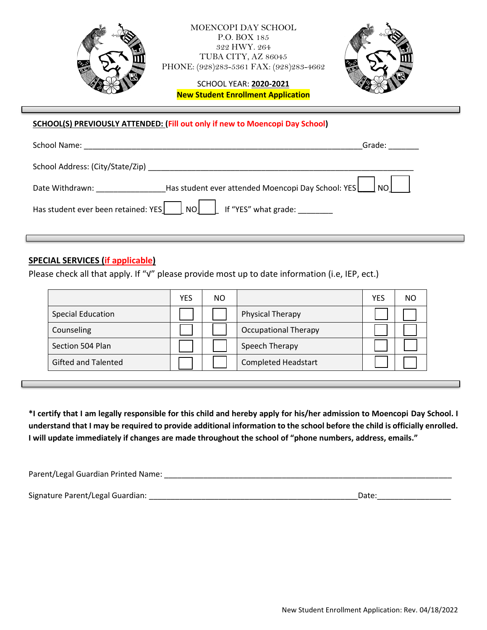

#### **SCHOOL(S) PREVIOUSLY ATTENDED: (Fill out only if new to Moencopi Day School)**

| School Name:                                                                                                          | Grade: |
|-----------------------------------------------------------------------------------------------------------------------|--------|
| School Address: (City/State/Zip) 2014 19:30 19:30 19:30 19:30 19:30 19:30 19:30 19:30 19:30 19:30 19:30 19:30         |        |
| Let as student ever attended Moencopi Day School: YES $\Box$ NO $\Box$<br>Date Withdrawn: National Action of the Mid- |        |
| Has student ever been retained: YES NO   If "YES" what grade:                                                         |        |
|                                                                                                                       |        |

### **SPECIAL SERVICES (if applicable)**

Please check all that apply. If "√" please provide most up to date information (i.e, IEP, ect.)

|                            | <b>YES</b> | NO. |                             | <b>YES</b> | NO |
|----------------------------|------------|-----|-----------------------------|------------|----|
| <b>Special Education</b>   |            |     | Physical Therapy            |            |    |
| Counseling                 |            |     | <b>Occupational Therapy</b> |            |    |
| Section 504 Plan           |            |     | Speech Therapy              |            |    |
| <b>Gifted and Talented</b> |            |     | <b>Completed Headstart</b>  |            |    |

**\*I certify that I am legally responsible for this child and hereby apply for his/her admission to Moencopi Day School. I understand that I may be required to provide additional information to the school before the child is officially enrolled. I will update immediately if changes are made throughout the school of "phone numbers, address, emails."** 

Parent/Legal Guardian Printed Name: \_\_\_\_\_\_\_\_\_\_\_\_\_\_\_\_\_\_\_\_\_\_\_\_\_\_\_\_\_\_\_\_\_\_\_\_\_\_\_\_\_\_\_\_\_\_\_\_\_\_\_\_\_\_\_\_\_\_\_\_\_\_\_\_\_\_

Signature Parent/Legal Guardian: \_\_\_\_\_\_\_\_\_\_\_\_\_\_\_\_\_\_\_\_\_\_\_\_\_\_\_\_\_\_\_\_\_\_\_\_\_\_\_\_\_\_\_\_\_\_\_\_Date:\_\_\_\_\_\_\_\_\_\_\_\_\_\_\_\_\_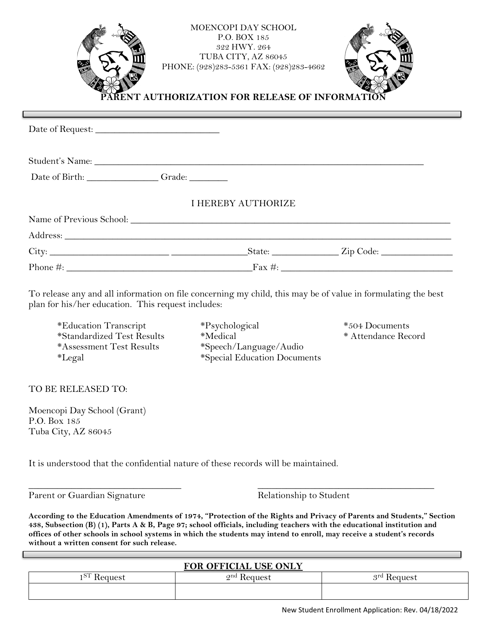| MOENCOPI DAY SCHOOL<br>P.O. BOX 185<br>322 HWY. 264<br>TUBA CITY, AZ 86045<br>PHONE: (928)283-5361 FAX: (928)283-4662<br><b>RENT AUTHORIZATION FOR RELEASE OF INFORMATIÕN</b> |
|-------------------------------------------------------------------------------------------------------------------------------------------------------------------------------|
|                                                                                                                                                                               |
|                                                                                                                                                                               |
| Date of Birth: Camera Grade:                                                                                                                                                  |
| <b>I HEREBY AUTHORIZE</b>                                                                                                                                                     |
|                                                                                                                                                                               |
|                                                                                                                                                                               |
|                                                                                                                                                                               |
|                                                                                                                                                                               |

To release any and all information on file concerning my child, this may be of value in formulating the best plan for his/her education. This request includes:

\*Legal \*Special Education Documents

\*Education Transcript \*Psychological \*504 Documents \*Standardized Test Results \*Medical \* \*Medical \* Attendance Record<br> \*Assessment Test Results \* \*Speech/Language/Audio \*Speech/Language/Audio

TO BE RELEASED TO:

Moencopi Day School (Grant) P.O. Box 185 Tuba City, AZ 86045

It is understood that the confidential nature of these records will be maintained.

Parent or Guardian Signature Relationship to Student

**According to the Education Amendments of 1974, "Protection of the Rights and Privacy of Parents and Students," Section 438, Subsection (B) (1), Parts A & B, Page 97; school officials, including teachers with the educational institution and offices of other schools in school systems in which the students may intend to enroll, may receive a student's records without a written consent for such release.**

 $\overline{\phantom{a}}$  , and the contract of the contract of the contract of the contract of the contract of the contract of the contract of the contract of the contract of the contract of the contract of the contract of the contrac

# **FOR OFFICIAL USE ONLY** 1<sup>ST</sup> Request 2<sup>nd</sup> Request 3<sup>rd</sup> Request 3<sup>rd</sup> Request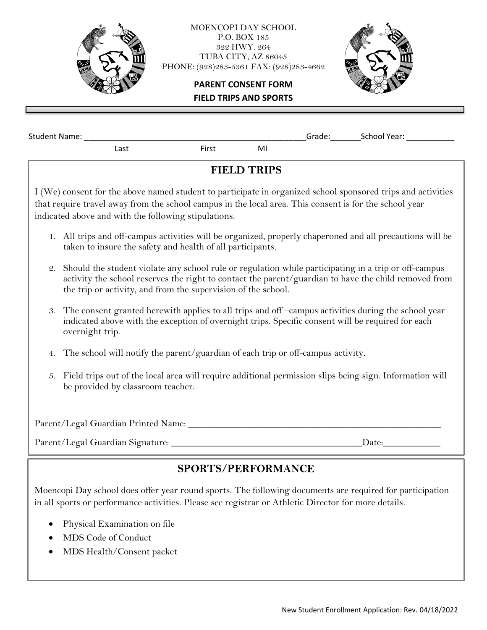

# **SPORTS/PERFORMANCE**

Moencopi Day school does offer year round sports. The following documents are required for participation in all sports or performance activities. Please see registrar or Athletic Director for more details.

- Physical Examination on file
- MDS Code of Conduct
- MDS Health/Consent packet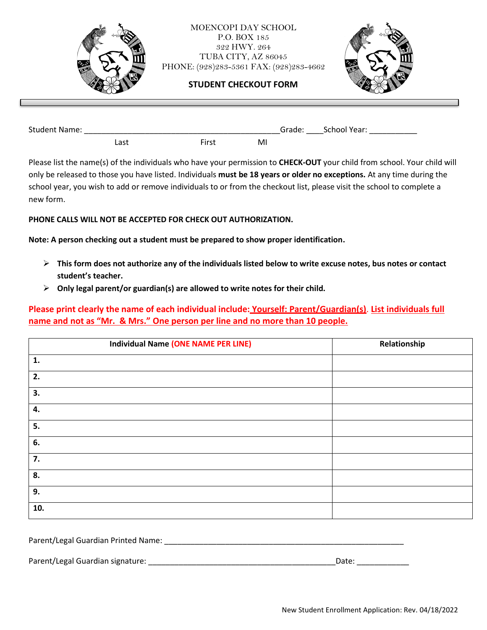

| <b>Student Name:</b> |                   |              | Grade: | School Year: |
|----------------------|-------------------|--------------|--------|--------------|
|                      | $\sim$ $\sim$ $+$ | <b>Sirct</b> | M<br>. |              |

Please list the name(s) of the individuals who have your permission to **CHECK-OUT** your child from school. Your child will only be released to those you have listed. Individuals **must be 18 years or older no exceptions.** At any time during the school year, you wish to add or remove individuals to or from the checkout list, please visit the school to complete a new form.

### **PHONE CALLS WILL NOT BE ACCEPTED FOR CHECK OUT AUTHORIZATION.**

**Note: A person checking out a student must be prepared to show proper identification.** 

- ➢ **This form does not authorize any of the individuals listed below to write excuse notes, bus notes or contact student's teacher.**
- ➢ **Only legal parent/or guardian(s) are allowed to write notes for their child.**

**Please print clearly the name of each individual include: Yourself: Parent/Guardian(s)**. **List individuals full name and not as "Mr. & Mrs." One person per line and no more than 10 people.**

| <b>Individual Name (ONE NAME PER LINE)</b> | Relationship |
|--------------------------------------------|--------------|
| 1.                                         |              |
| 2.                                         |              |
| 3.                                         |              |
| 4.                                         |              |
| 5.                                         |              |
| 6.                                         |              |
| 7.                                         |              |
| 8.                                         |              |
| 9.                                         |              |
| 10.                                        |              |

Parent/Legal Guardian Printed Name: \_\_\_\_\_\_\_\_\_\_\_\_\_\_\_\_\_\_\_\_\_\_\_\_\_\_\_\_\_\_\_\_\_\_\_\_\_\_\_\_\_\_\_\_\_\_\_\_\_\_\_\_\_\_\_

Parent/Legal Guardian signature: \_\_\_\_\_\_\_\_\_\_\_\_\_\_\_\_\_\_\_\_\_\_\_\_\_\_\_\_\_\_\_\_\_\_\_\_\_\_\_\_\_\_\_Date: \_\_\_\_\_\_\_\_\_\_\_\_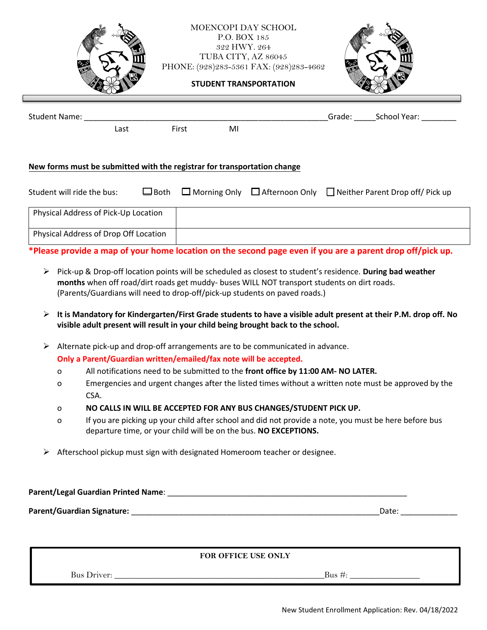|                            | MOENCOPI DAY SCHOOL<br>P.O. BOX 185<br>322 HWY. 264<br>TUBA CITY, AZ 86045<br>PHONE: (928)283-5361 FAX: (928)283-4662<br><b>STUDENT TRANSPORTATION</b>                                                                                                                              |
|----------------------------|-------------------------------------------------------------------------------------------------------------------------------------------------------------------------------------------------------------------------------------------------------------------------------------|
| Student Name:              | Grade: School Year:<br>First<br>Last<br>MI                                                                                                                                                                                                                                          |
| Student will ride the bus: | New forms must be submitted with the registrar for transportation change<br>$\square$ Both<br>$\Box$ Morning Only $\Box$ Afternoon Only $\Box$ Neither Parent Drop off/ Pick up                                                                                                     |
|                            | Physical Address of Pick-Up Location                                                                                                                                                                                                                                                |
|                            | Physical Address of Drop Off Location                                                                                                                                                                                                                                               |
|                            | *Please provide a map of your home location on the second page even if you are a parent drop off/pick up.                                                                                                                                                                           |
| ➤                          | (Parents/Guardians will need to drop-off/pick-up students on paved roads.)<br>It is Mandatory for Kindergarten/First Grade students to have a visible adult present at their P.M. drop off. No<br>visible adult present will result in your child being brought back to the school. |
| ➤                          | Alternate pick-up and drop-off arrangements are to be communicated in advance.                                                                                                                                                                                                      |
|                            | Only a Parent/Guardian written/emailed/fax note will be accepted.                                                                                                                                                                                                                   |
| റ<br>o                     | All notifications need to be submitted to the front office by 11:00 AM- NO LATER.<br>Emergencies and urgent changes after the listed times without a written note must be approved by the                                                                                           |
|                            | CSA.                                                                                                                                                                                                                                                                                |
| o                          | NO CALLS IN WILL BE ACCEPTED FOR ANY BUS CHANGES/STUDENT PICK UP.<br>If you are picking up your child after school and did not provide a note, you must be here before bus                                                                                                          |
| o                          | departure time, or your child will be on the bus. NO EXCEPTIONS.                                                                                                                                                                                                                    |
| ➤                          | Afterschool pickup must sign with designated Homeroom teacher or designee.                                                                                                                                                                                                          |
|                            |                                                                                                                                                                                                                                                                                     |
|                            | Date: Date:                                                                                                                                                                                                                                                                         |
|                            |                                                                                                                                                                                                                                                                                     |

**FOR OFFICE USE ONLY**

Bus Driver: \_\_\_\_\_\_\_\_\_\_\_\_\_\_\_\_\_\_\_\_\_\_\_\_\_\_\_\_\_\_\_\_\_\_\_\_\_\_\_\_\_\_\_\_\_\_\_\_Bus #: \_\_\_\_\_\_\_\_\_\_\_\_\_\_\_\_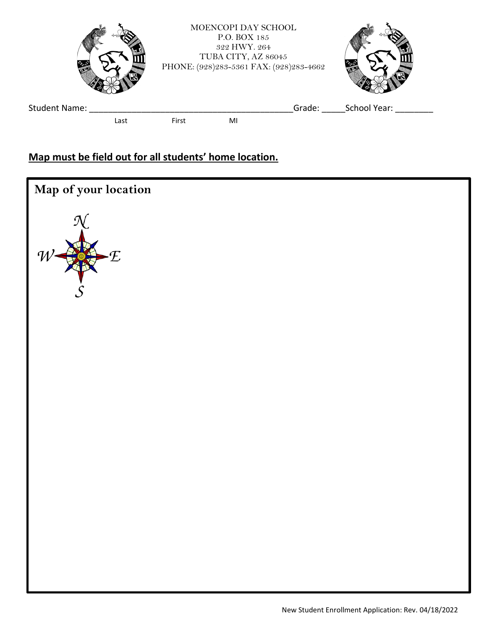

# **Map must be field out for all students' home location.**

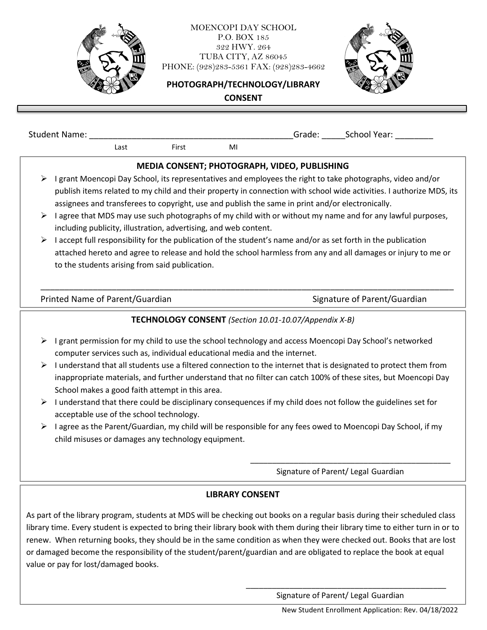



# **PHOTOGRAPH/TECHNOLOGY/LIBRARY CONSENT**

| Student Name: |      |       |    | ∩rader ⊺ | School Year: |  |
|---------------|------|-------|----|----------|--------------|--|
|               | Last | First | MI |          |              |  |

## **MEDIA CONSENT; PHOTOGRAPH, VIDEO, PUBLISHING**

- ➢ I grant Moencopi Day School, its representatives and employees the right to take photographs, video and/or publish items related to my child and their property in connection with school wide activities. I authorize MDS, its assignees and transferees to copyright, use and publish the same in print and/or electronically.
- $\triangleright$  I agree that MDS may use such photographs of my child with or without my name and for any lawful purposes, including publicity, illustration, advertising, and web content.
- $\triangleright$  I accept full responsibility for the publication of the student's name and/or as set forth in the publication attached hereto and agree to release and hold the school harmless from any and all damages or injury to me or to the students arising from said publication.

\_\_\_\_\_\_\_\_\_\_\_\_\_\_\_\_\_\_\_\_\_\_\_\_\_\_\_\_\_\_\_\_\_\_\_\_\_\_\_\_\_\_\_\_\_\_\_\_\_\_\_\_\_\_\_\_\_\_\_\_\_\_\_\_\_\_\_\_\_\_\_\_\_\_\_\_\_\_\_\_\_\_\_\_\_\_\_

Printed Name of Parent/Guardian Signature of Parent/Guardian Signature of Parent/Guardian

# **TECHNOLOGY CONSENT** *(Section 10.01-10.07/Appendix X-B)*

- ➢ I grant permission for my child to use the school technology and access Moencopi Day School's networked computer services such as, individual educational media and the internet.
- $\triangleright$  I understand that all students use a filtered connection to the internet that is designated to protect them from inappropriate materials, and further understand that no filter can catch 100% of these sites, but Moencopi Day School makes a good faith attempt in this area.
- $\triangleright$  I understand that there could be disciplinary consequences if my child does not follow the guidelines set for acceptable use of the school technology.
- ➢ I agree as the Parent/Guardian, my child will be responsible for any fees owed to Moencopi Day School, if my child misuses or damages any technology equipment.

\_\_\_\_\_\_\_\_\_\_\_\_\_\_\_\_\_\_\_\_\_\_\_\_\_\_\_\_\_\_\_\_\_\_\_\_\_\_\_\_\_\_\_\_\_\_

Signature of Parent/ Legal Guardian

# **LIBRARY CONSENT**

As part of the library program, students at MDS will be checking out books on a regular basis during their scheduled class library time. Every student is expected to bring their library book with them during their library time to either turn in or to renew. When returning books, they should be in the same condition as when they were checked out. Books that are lost or damaged become the responsibility of the student/parent/guardian and are obligated to replace the book at equal value or pay for lost/damaged books.

\_\_\_\_\_\_\_\_\_\_\_\_\_\_\_\_\_\_\_\_\_\_\_\_\_\_\_\_\_\_\_\_\_\_\_\_\_\_\_\_\_\_\_\_\_\_

Signature of Parent/ Legal Guardian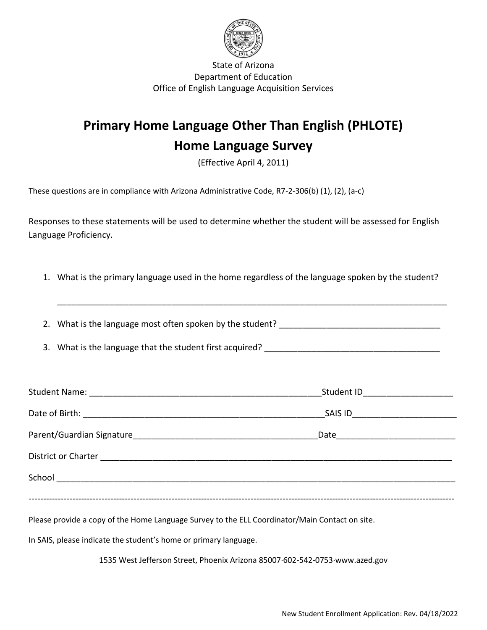

State of Arizona Department of Education Office of English Language Acquisition Services

# **Primary Home Language Other Than English (PHLOTE) Home Language Survey**

(Effective April 4, 2011)

These questions are in compliance with Arizona Administrative Code, R7-2-306(b) (1), (2), (a-c)

Responses to these statements will be used to determine whether the student will be assessed for English Language Proficiency.

1. What is the primary language used in the home regardless of the language spoken by the student?

\_\_\_\_\_\_\_\_\_\_\_\_\_\_\_\_\_\_\_\_\_\_\_\_\_\_\_\_\_\_\_\_\_\_\_\_\_\_\_\_\_\_\_\_\_\_\_\_\_\_\_\_\_\_\_\_\_\_\_\_\_\_\_\_\_\_\_\_\_\_\_\_\_\_\_\_\_\_\_\_\_\_

2. What is the language most often spoken by the student?

3. What is the language that the student first acquired?

|                                                                                                | Student ID_______________________ |
|------------------------------------------------------------------------------------------------|-----------------------------------|
|                                                                                                |                                   |
|                                                                                                |                                   |
|                                                                                                |                                   |
|                                                                                                |                                   |
| Please provide a copy of the Home Language Survey to the ELL Coordinator/Main Contact on site. |                                   |

In SAIS, please indicate the student's home or primary language.

1535 West Jefferson Street, Phoenix Arizona 85007·602-542-0753·www.azed.gov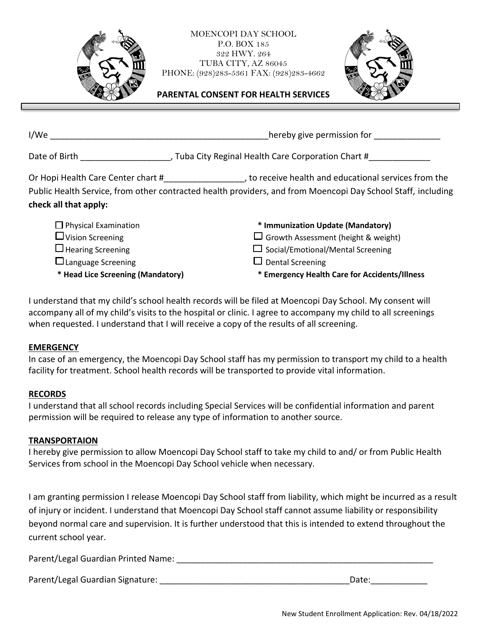



**PARENTAL CONSENT FOR HEALTH SERVICES**

| I/We                                                                                                                                                 | hereby give permission for                                                                                                                                                                                    |  |  |
|------------------------------------------------------------------------------------------------------------------------------------------------------|---------------------------------------------------------------------------------------------------------------------------------------------------------------------------------------------------------------|--|--|
| Date of Birth                                                                                                                                        | Tuba City Reginal Health Care Corporation Chart #                                                                                                                                                             |  |  |
| check all that apply:                                                                                                                                | Or Hopi Health Care Center chart # 1999 , to receive health and educational services from the<br>Public Health Service, from other contracted health providers, and from Moencopi Day School Staff, including |  |  |
| $\Box$ Physical Examination<br>$\Box$ Vision Screening<br>$\Box$ Hearing Screening<br>$\Box$ Language Screening<br>* Head Lice Screening (Mandatory) | * Immunization Update (Mandatory)<br>$\Box$ Growth Assessment (height & weight)<br>$\Box$ Social/Emotional/Mental Screening<br>$\Box$ Dental Screening<br>* Emergency Health Care for Accidents/Illness       |  |  |

I understand that my child's school health records will be filed at Moencopi Day School. My consent will accompany all of my child's visits to the hospital or clinic. I agree to accompany my child to all screenings when requested. I understand that I will receive a copy of the results of all screening.

# **EMERGENCY**

In case of an emergency, the Moencopi Day School staff has my permission to transport my child to a health facility for treatment. School health records will be transported to provide vital information.

# **RECORDS**

I understand that all school records including Special Services will be confidential information and parent permission will be required to release any type of information to another source.

# **TRANSPORTAION**

I hereby give permission to allow Moencopi Day School staff to take my child to and/ or from Public Health Services from school in the Moencopi Day School vehicle when necessary.

I am granting permission I release Moencopi Day School staff from liability, which might be incurred as a result of injury or incident. I understand that Moencopi Day School staff cannot assume liability or responsibility beyond normal care and supervision. It is further understood that this is intended to extend throughout the current school year.

| Parent/Legal Guardian Printed Name: |  |
|-------------------------------------|--|
|                                     |  |

Parent/Legal Guardian Signature: \_\_\_\_\_\_\_\_\_\_\_\_\_\_\_\_\_\_\_\_\_\_\_\_\_\_\_\_\_\_\_\_\_\_\_\_\_\_\_\_Date:\_\_\_\_\_\_\_\_\_\_\_\_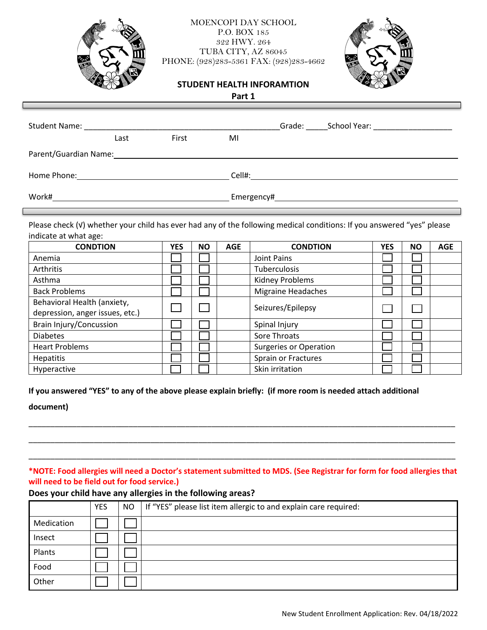



# **STUDENT HEALTH INFORAMTION**

| . . |  |
|-----|--|
|-----|--|

|                                         |      |       |    | Grade: | School Year: New York School Year: |
|-----------------------------------------|------|-------|----|--------|------------------------------------|
|                                         | Last | First | MI |        |                                    |
|                                         |      |       |    |        |                                    |
| Home Phone: <u>____________________</u> |      |       |    |        |                                    |
| Work#                                   |      |       |    |        |                                    |

Please check (√) whether your child has ever had any of the following medical conditions: If you answered "yes" please indicate at what age:

| <b>CONDTION</b>                 | <b>YES</b> | ΝO | <b>AGE</b> | <b>CONDTION</b>               | <b>YES</b> | <b>NO</b> | <b>AGE</b> |
|---------------------------------|------------|----|------------|-------------------------------|------------|-----------|------------|
| Anemia                          |            |    |            | Joint Pains                   |            |           |            |
| Arthritis                       |            |    |            | Tuberculosis                  |            |           |            |
| Asthma                          |            |    |            | Kidney Problems               |            |           |            |
| <b>Back Problems</b>            |            |    |            | <b>Migraine Headaches</b>     |            |           |            |
| Behavioral Health (anxiety,     |            |    |            | Seizures/Epilepsy             |            |           |            |
| depression, anger issues, etc.) |            |    |            |                               |            |           |            |
| Brain Injury/Concussion         |            |    |            | Spinal Injury                 |            |           |            |
| <b>Diabetes</b>                 |            |    |            | Sore Throats                  |            |           |            |
| <b>Heart Problems</b>           |            |    |            | <b>Surgeries or Operation</b> |            |           |            |
| <b>Hepatitis</b>                |            |    |            | Sprain or Fractures           |            |           |            |
| Hyperactive                     |            |    |            | Skin irritation               |            |           |            |

**If you answered "YES" to any of the above please explain briefly: (if more room is needed attach additional**

### **document)**

**\*NOTE: Food allergies will need a Doctor's statement submitted to MDS. (See Registrar for form for food allergies that will need to be field out for food service.)**

\_\_\_\_\_\_\_\_\_\_\_\_\_\_\_\_\_\_\_\_\_\_\_\_\_\_\_\_\_\_\_\_\_\_\_\_\_\_\_\_\_\_\_\_\_\_\_\_\_\_\_\_\_\_\_\_\_\_\_\_\_\_\_\_\_\_\_\_\_\_\_\_\_\_\_\_\_\_\_\_\_\_\_\_\_\_\_\_\_\_\_\_\_\_\_\_\_\_

\_\_\_\_\_\_\_\_\_\_\_\_\_\_\_\_\_\_\_\_\_\_\_\_\_\_\_\_\_\_\_\_\_\_\_\_\_\_\_\_\_\_\_\_\_\_\_\_\_\_\_\_\_\_\_\_\_\_\_\_\_\_\_\_\_\_\_\_\_\_\_\_\_\_\_\_\_\_\_\_\_\_\_\_\_\_\_\_\_\_\_\_\_\_\_\_\_\_

\_\_\_\_\_\_\_\_\_\_\_\_\_\_\_\_\_\_\_\_\_\_\_\_\_\_\_\_\_\_\_\_\_\_\_\_\_\_\_\_\_\_\_\_\_\_\_\_\_\_\_\_\_\_\_\_\_\_\_\_\_\_\_\_\_\_\_\_\_\_\_\_\_\_\_\_\_\_\_\_\_\_\_\_\_\_\_\_\_\_\_\_\_\_\_\_\_\_

### **Does your child have any allergies in the following areas?**

|            | <b>YES</b> | NO | If "YES" please list item allergic to and explain care required: |
|------------|------------|----|------------------------------------------------------------------|
| Medication |            |    |                                                                  |
| Insect     |            |    |                                                                  |
| Plants     |            |    |                                                                  |
| Food       |            |    |                                                                  |
| Other      |            |    |                                                                  |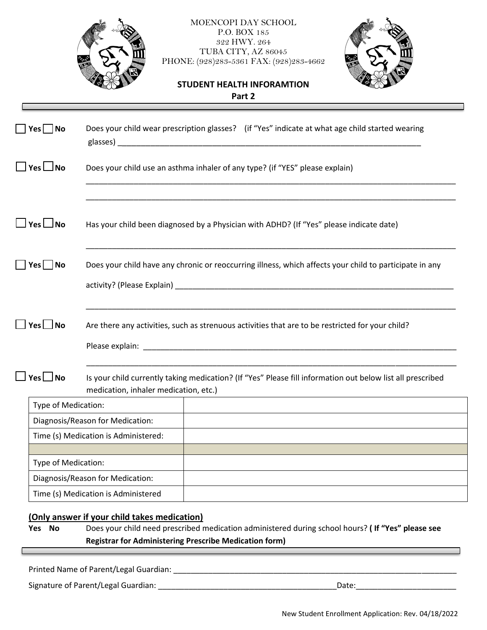



# **STUDENT HEALTH INFORAMTION Part 2**

| $\Box$ Yes $\Box$ No       | Does your child wear prescription glasses? (if "Yes" indicate at what age child started wearing                                                                                                                                                                                                                                    |  |  |  |  |
|----------------------------|------------------------------------------------------------------------------------------------------------------------------------------------------------------------------------------------------------------------------------------------------------------------------------------------------------------------------------|--|--|--|--|
| $\Box$ Yes $\Box$ No       | Does your child use an asthma inhaler of any type? (if "YES" please explain)                                                                                                                                                                                                                                                       |  |  |  |  |
| $\Box$ Yes $\Box$ No       | Has your child been diagnosed by a Physician with ADHD? (If "Yes" please indicate date)                                                                                                                                                                                                                                            |  |  |  |  |
| $\bigcap$ Yes $\bigcap$ No | Does your child have any chronic or reoccurring illness, which affects your child to participate in any                                                                                                                                                                                                                            |  |  |  |  |
| 」Yes_ No                   | Are there any activities, such as strenuous activities that are to be restricted for your child?<br>Please explain: Note of the state of the state of the state of the state of the state of the state of the state of the state of the state of the state of the state of the state of the state of the state of the state of the |  |  |  |  |
| $Yes \Box No$              | Is your child currently taking medication? (If "Yes" Please fill information out below list all prescribed<br>medication, inhaler medication, etc.)                                                                                                                                                                                |  |  |  |  |
| Type of Medication:        |                                                                                                                                                                                                                                                                                                                                    |  |  |  |  |
|                            | Diagnosis/Reason for Medication:                                                                                                                                                                                                                                                                                                   |  |  |  |  |
|                            | Time (s) Medication is Administered:                                                                                                                                                                                                                                                                                               |  |  |  |  |
|                            |                                                                                                                                                                                                                                                                                                                                    |  |  |  |  |
| Type of Medication:        |                                                                                                                                                                                                                                                                                                                                    |  |  |  |  |
|                            | Diagnosis/Reason for Medication:                                                                                                                                                                                                                                                                                                   |  |  |  |  |
|                            | Time (s) Medication is Administered                                                                                                                                                                                                                                                                                                |  |  |  |  |
|                            |                                                                                                                                                                                                                                                                                                                                    |  |  |  |  |

## **(Only answer if your child takes medication)**

**Yes No** Does your child need prescribed medication administered during school hours? **( If "Yes" please see Registrar for Administering Prescribe Medication form)**

Printed Name of Parent/Legal Guardian: \_\_\_\_\_\_\_\_\_\_\_\_\_\_\_\_\_\_\_\_\_\_\_\_\_\_\_\_\_\_\_\_\_\_\_\_\_\_\_\_\_\_\_\_\_\_\_\_\_\_\_\_\_\_\_\_\_\_\_\_\_\_\_\_\_

Signature of Parent/Legal Guardian: \_\_\_\_\_\_\_\_\_\_\_\_\_\_\_\_\_\_\_\_\_\_\_\_\_\_\_\_\_\_\_\_\_\_\_\_\_\_\_\_\_Date:\_\_\_\_\_\_\_\_\_\_\_\_\_\_\_\_\_\_\_\_\_\_\_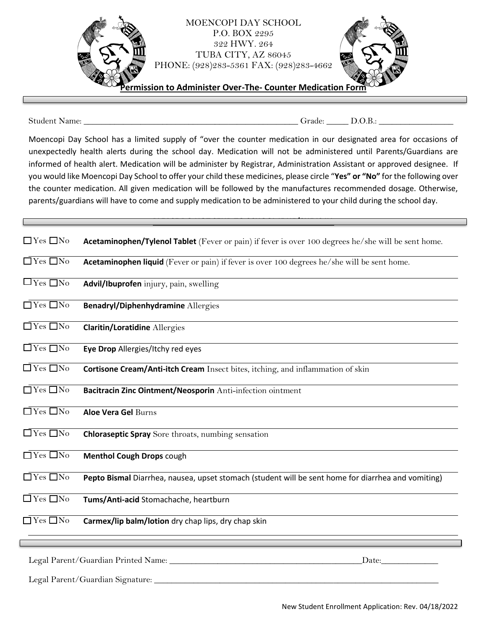

Student Name: \_\_\_\_\_\_\_\_\_\_\_\_\_\_\_\_\_\_\_\_\_\_\_\_\_\_\_\_\_\_\_\_\_\_\_\_\_\_\_\_\_\_\_\_\_\_\_\_\_ Grade: \_\_\_\_\_ D.O.B.: \_\_\_\_\_\_\_\_\_\_\_\_\_\_\_\_\_

Moencopi Day School has a limited supply of "over the counter medication in our designated area for occasions of unexpectedly health alerts during the school day. Medication will not be administered until Parents/Guardians are informed of health alert. Medication will be administer by Registrar, Administration Assistant or approved designee. If you would like Moencopi Day School to offer your child these medicines, please circle "**Yes" or "No"** for the following over the counter medication. All given medication will be followed by the manufactures recommended dosage. Otherwise, parents/guardians will have to come and supply medication to be administered to your child during the school day.

| $\Box$ Yes $\Box$ No                        | Acetaminophen/Tylenol Tablet (Fever or pain) if fever is over 100 degrees he/she will be sent home. |
|---------------------------------------------|-----------------------------------------------------------------------------------------------------|
| $\Box$ Yes $\Box$ No                        | Acetaminophen liquid (Fever or pain) if fever is over 100 degrees he/she will be sent home.         |
| $\Box$ Yes $\Box$ No                        | Advil/Ibuprofen injury, pain, swelling                                                              |
| $\Box$ Yes $\Box$ No                        | <b>Benadryl/Diphenhydramine Allergies</b>                                                           |
| $\overline{\Box \text{Yes} \Box \text{No}}$ | <b>Claritin/Loratidine Allergies</b>                                                                |
| $\Box$ Yes $\Box$ No                        | Eye Drop Allergies/Itchy red eyes                                                                   |
| $\Box$ Yes $\Box$ No                        | Cortisone Cream/Anti-itch Cream Insect bites, itching, and inflammation of skin                     |
| $\Box$ Yes $\Box$ No                        | Bacitracin Zinc Ointment/Neosporin Anti-infection ointment                                          |
| $\Box$ Yes $\Box$ No                        | Aloe Vera Gel Burns                                                                                 |
| $\Box$ Yes $\Box$ No                        | <b>Chloraseptic Spray</b> Sore throats, numbing sensation                                           |
| $\Box$ Yes $\Box$ No                        | Menthol Cough Drops cough                                                                           |
| $\Box$ Yes $\Box$ No                        | Pepto Bismal Diarrhea, nausea, upset stomach (student will be sent home for diarrhea and vomiting)  |
| $\Box$ Yes $\Box$ No                        | Tums/Anti-acid Stomachache, heartburn                                                               |
| $\Box$ Yes $\Box$ No                        | Carmex/lip balm/lotion dry chap lips, dry chap skin                                                 |
|                                             |                                                                                                     |
|                                             | Legal Parent/Guardian Printed Name: _<br>Date:                                                      |

Legal Parent/Guardian Signature: \_\_\_\_\_\_\_\_\_\_\_\_\_\_\_\_\_\_\_\_\_\_\_\_\_\_\_\_\_\_\_\_\_\_\_\_\_\_\_\_\_\_\_\_\_\_\_\_\_\_\_\_\_\_\_\_\_\_\_\_\_\_\_\_\_